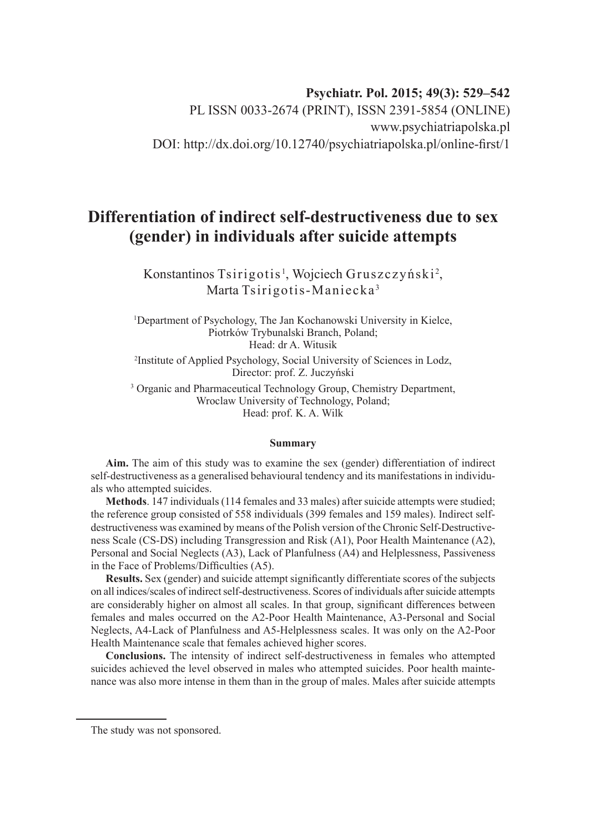# **Psychiatr. Pol. 2015; 49(3): 529–542**

PL ISSN 0033-2674 (PRINT), ISSN 2391-5854 (ONLINE) www.psychiatriapolska.pl DOI: http://dx.doi.org/10.12740/psychiatriapolska.pl/online-first/1

# **Differentiation of indirect self-destructiveness due to sex (gender) in individuals after suicide attempts**

Konstantinos Tsirigotis<sup>1</sup>, Wojciech Gruszczyński<sup>2</sup>, Marta Tsirigotis-Maniecka <sup>3</sup>

1 Department of Psychology, The Jan Kochanowski University in Kielce, Piotrków Trybunalski Branch, Poland; Head: dr A. Witusik

2 Institute of Applied Psychology, Social University of Sciences in Lodz, Director: prof. Z. Juczyński

<sup>3</sup> Organic and Pharmaceutical Technology Group, Chemistry Department, Wroclaw University of Technology, Poland; Head: prof. K. A. Wilk

#### **Summary**

**Aim.** The aim of this study was to examine the sex (gender) differentiation of indirect self-destructiveness as a generalised behavioural tendency and its manifestations in individuals who attempted suicides.

**Methods**. 147 individuals (114 females and 33 males) after suicide attempts were studied; the reference group consisted of 558 individuals (399 females and 159 males). Indirect selfdestructiveness was examined by means of the Polish version of the Chronic Self-Destructiveness Scale (CS-DS) including Transgression and Risk (A1), Poor Health Maintenance (A2), Personal and Social Neglects (A3), Lack of Planfulness (A4) and Helplessness, Passiveness in the Face of Problems/Difficulties (A5).

**Results.** Sex (gender) and suicide attempt significantly differentiate scores of the subjects on all indices/scales of indirect self-destructiveness. Scores of individuals after suicide attempts are considerably higher on almost all scales. In that group, significant differences between females and males occurred on the A2-Poor Health Maintenance, A3-Personal and Social Neglects, A4-Lack of Planfulness and A5-Helplessness scales. It was only on the A2-Poor Health Maintenance scale that females achieved higher scores.

**Conclusions.** The intensity of indirect self-destructiveness in females who attempted suicides achieved the level observed in males who attempted suicides. Poor health maintenance was also more intense in them than in the group of males. Males after suicide attempts

The study was not sponsored.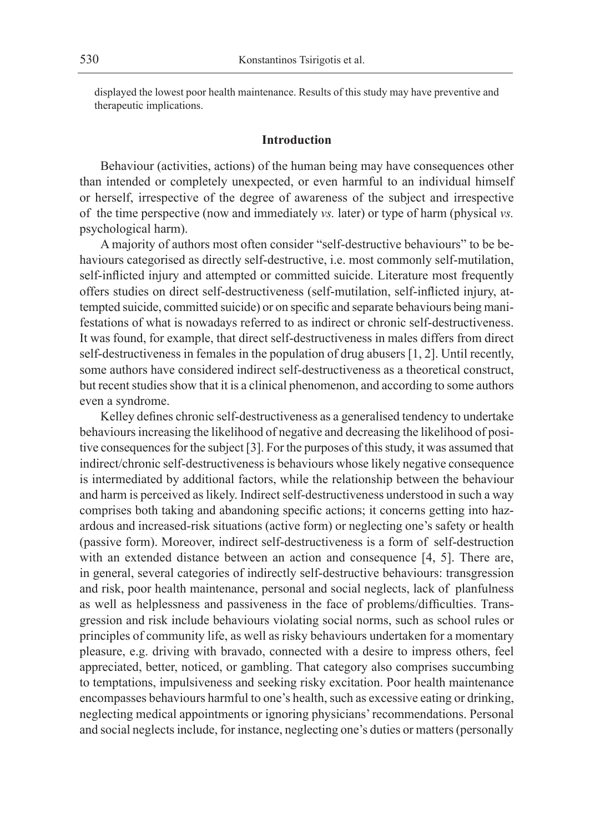displayed the lowest poor health maintenance. Results of this study may have preventive and therapeutic implications.

# **Introduction**

Behaviour (activities, actions) of the human being may have consequences other than intended or completely unexpected, or even harmful to an individual himself or herself, irrespective of the degree of awareness of the subject and irrespective of the time perspective (now and immediately *vs.* later) or type of harm (physical *vs.* psychological harm).

A majority of authors most often consider "self-destructive behaviours" to be behaviours categorised as directly self-destructive, i.e. most commonly self-mutilation, self-inflicted injury and attempted or committed suicide. Literature most frequently offers studies on direct self-destructiveness (self-mutilation, self-inflicted injury, attempted suicide, committed suicide) or on specific and separate behaviours being manifestations of what is nowadays referred to as indirect or chronic self-destructiveness. It was found, for example, that direct self-destructiveness in males differs from direct self-destructiveness in females in the population of drug abusers [1, 2]. Until recently, some authors have considered indirect self-destructiveness as a theoretical construct, but recent studies show that it is a clinical phenomenon, and according to some authors even a syndrome.

Kelley defines chronic self-destructiveness as a generalised tendency to undertake behaviours increasing the likelihood of negative and decreasing the likelihood of positive consequences for the subject [3]. For the purposes of this study, it was assumed that indirect/chronic self-destructiveness is behaviours whose likely negative consequence is intermediated by additional factors, while the relationship between the behaviour and harm is perceived as likely. Indirect self-destructiveness understood in such a way comprises both taking and abandoning specific actions; it concerns getting into hazardous and increased-risk situations (active form) or neglecting one's safety or health (passive form). Moreover, indirect self-destructiveness is a form of self-destruction with an extended distance between an action and consequence [4, 5]. There are, in general, several categories of indirectly self-destructive behaviours: transgression and risk, poor health maintenance, personal and social neglects, lack of planfulness as well as helplessness and passiveness in the face of problems/difficulties. Transgression and risk include behaviours violating social norms, such as school rules or principles of community life, as well as risky behaviours undertaken for a momentary pleasure, e.g. driving with bravado, connected with a desire to impress others, feel appreciated, better, noticed, or gambling. That category also comprises succumbing to temptations, impulsiveness and seeking risky excitation. Poor health maintenance encompasses behaviours harmful to one's health, such as excessive eating or drinking, neglecting medical appointments or ignoring physicians' recommendations. Personal and social neglects include, for instance, neglecting one's duties or matters (personally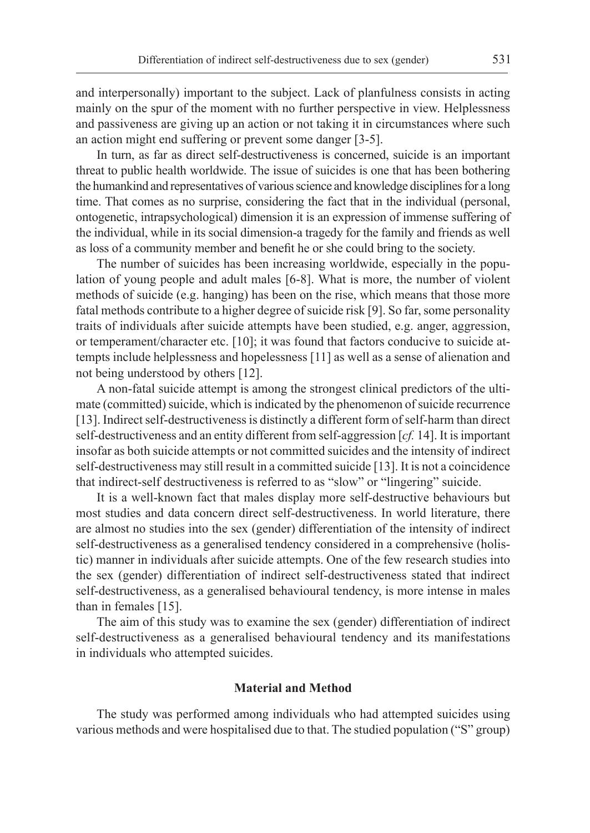and interpersonally) important to the subject. Lack of planfulness consists in acting mainly on the spur of the moment with no further perspective in view. Helplessness and passiveness are giving up an action or not taking it in circumstances where such an action might end suffering or prevent some danger [3-5].

In turn, as far as direct self-destructiveness is concerned, suicide is an important threat to public health worldwide. The issue of suicides is one that has been bothering the humankind and representatives of various science and knowledge disciplines for a long time. That comes as no surprise, considering the fact that in the individual (personal, ontogenetic, intrapsychological) dimension it is an expression of immense suffering of the individual, while in its social dimension-a tragedy for the family and friends as well as loss of a community member and benefit he or she could bring to the society.

The number of suicides has been increasing worldwide, especially in the population of young people and adult males [6-8]. What is more, the number of violent methods of suicide (e.g. hanging) has been on the rise, which means that those more fatal methods contribute to a higher degree of suicide risk [9]. So far, some personality traits of individuals after suicide attempts have been studied, e.g. anger, aggression, or temperament/character etc. [10]; it was found that factors conducive to suicide attempts include helplessness and hopelessness [11] as well as a sense of alienation and not being understood by others [12].

A non-fatal suicide attempt is among the strongest clinical predictors of the ultimate (committed) suicide, which is indicated by the phenomenon of suicide recurrence [13]. Indirect self-destructiveness is distinctly a different form of self-harm than direct self-destructiveness and an entity different from self-aggression [*cf.* 14]. It is important insofar as both suicide attempts or not committed suicides and the intensity of indirect self-destructiveness may still result in a committed suicide [13]. It is not a coincidence that indirect-self destructiveness is referred to as "slow" or "lingering" suicide.

It is a well-known fact that males display more self-destructive behaviours but most studies and data concern direct self-destructiveness. In world literature, there are almost no studies into the sex (gender) differentiation of the intensity of indirect self-destructiveness as a generalised tendency considered in a comprehensive (holistic) manner in individuals after suicide attempts. One of the few research studies into the sex (gender) differentiation of indirect self-destructiveness stated that indirect self-destructiveness, as a generalised behavioural tendency, is more intense in males than in females [15].

The aim of this study was to examine the sex (gender) differentiation of indirect self-destructiveness as a generalised behavioural tendency and its manifestations in individuals who attempted suicides.

### **Material and Method**

The study was performed among individuals who had attempted suicides using various methods and were hospitalised due to that. The studied population ("S" group)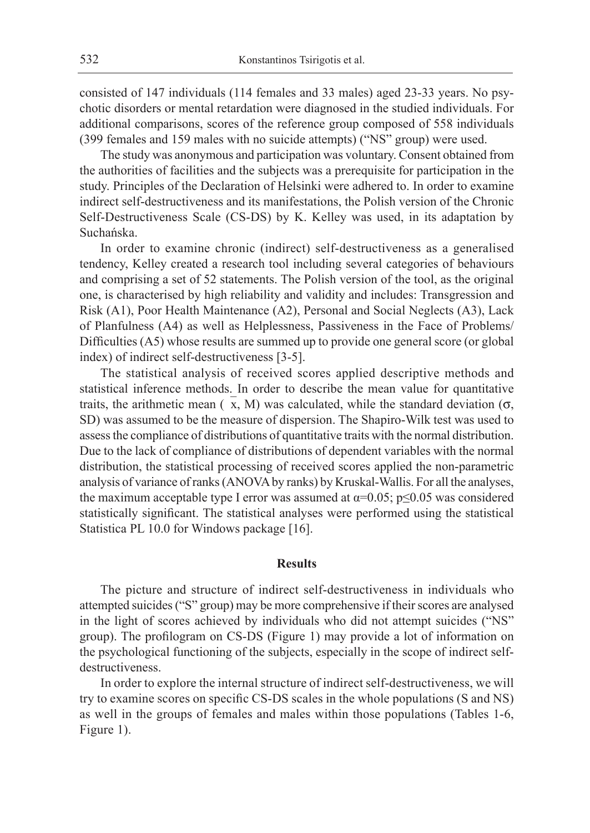consisted of 147 individuals (114 females and 33 males) aged 23-33 years. No psychotic disorders or mental retardation were diagnosed in the studied individuals. For additional comparisons, scores of the reference group composed of 558 individuals (399 females and 159 males with no suicide attempts) ("NS" group) were used.

The study was anonymous and participation was voluntary. Consent obtained from the authorities of facilities and the subjects was a prerequisite for participation in the study. Principles of the Declaration of Helsinki were adhered to. In order to examine indirect self-destructiveness and its manifestations, the Polish version of the Chronic Self-Destructiveness Scale (CS-DS) by K. Kelley was used, in its adaptation by Suchańska.

In order to examine chronic (indirect) self-destructiveness as a generalised tendency, Kelley created a research tool including several categories of behaviours and comprising a set of 52 statements. The Polish version of the tool, as the original one, is characterised by high reliability and validity and includes: Transgression and Risk (A1), Poor Health Maintenance (A2), Personal and Social Neglects (A3), Lack of Planfulness (A4) as well as Helplessness, Passiveness in the Face of Problems/ Difficulties (A5) whose results are summed up to provide one general score (or global index) of indirect self-destructiveness [3-5].

The statistical analysis of received scores applied descriptive methods and statistical inference methods. In order to describe the mean value for quantitative traits, the arithmetic mean ( $\bar{x}$ , M) was calculated, while the standard deviation ( $\sigma$ , SD) was assumed to be the measure of dispersion. The Shapiro-Wilk test was used to assess the compliance of distributions of quantitative traits with the normal distribution. Due to the lack of compliance of distributions of dependent variables with the normal distribution, the statistical processing of received scores applied the non-parametric analysis of variance of ranks (ANOVA by ranks) by Kruskal-Wallis. For all the analyses, the maximum acceptable type I error was assumed at  $\alpha$ =0.05; p $\leq$ 0.05 was considered statistically significant. The statistical analyses were performed using the statistical Statistica PL 10.0 for Windows package [16].

# **Results**

The picture and structure of indirect self-destructiveness in individuals who attempted suicides ("S" group) may be more comprehensive if their scores are analysed in the light of scores achieved by individuals who did not attempt suicides ("NS" group). The profilogram on CS-DS (Figure 1) may provide a lot of information on the psychological functioning of the subjects, especially in the scope of indirect selfdestructiveness.

In order to explore the internal structure of indirect self-destructiveness, we will try to examine scores on specific CS-DS scales in the whole populations (S and NS) as well in the groups of females and males within those populations (Tables 1-6, Figure 1).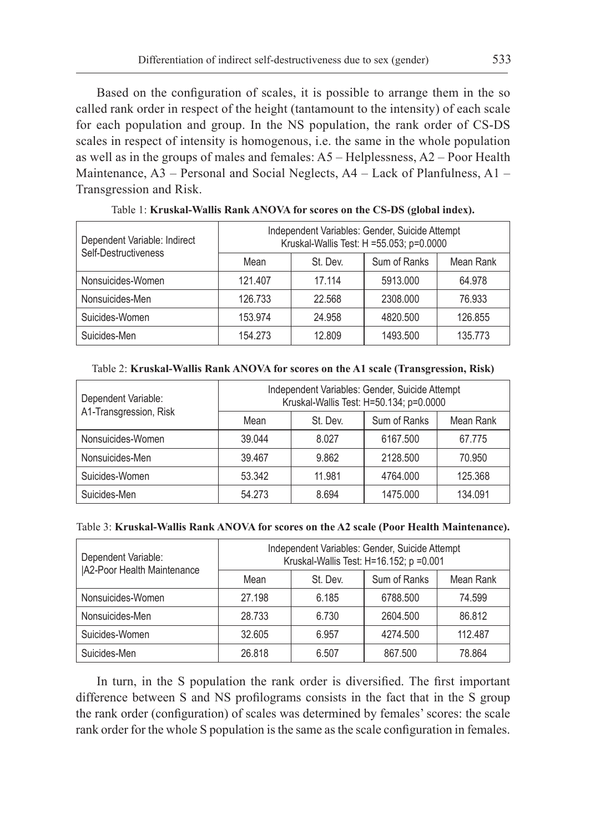Based on the configuration of scales, it is possible to arrange them in the so called rank order in respect of the height (tantamount to the intensity) of each scale for each population and group. In the NS population, the rank order of CS-DS scales in respect of intensity is homogenous, i.e. the same in the whole population as well as in the groups of males and females: A5 – Helplessness, A2 – Poor Health Maintenance,  $A3$  – Personal and Social Neglects,  $A4$  – Lack of Planfulness,  $A1$  – Transgression and Risk.

| Dependent Variable: Indirect<br>Self-Destructiveness | Independent Variables: Gender, Suicide Attempt<br>Kruskal-Wallis Test: H =55.053; p=0.0000 |          |              |           |
|------------------------------------------------------|--------------------------------------------------------------------------------------------|----------|--------------|-----------|
|                                                      | Mean                                                                                       | St. Dev. | Sum of Ranks | Mean Rank |
| Nonsuicides-Women                                    | 121.407                                                                                    | 17.114   | 5913.000     | 64.978    |
| Nonsuicides-Men                                      | 126.733                                                                                    | 22.568   | 2308.000     | 76.933    |
| Suicides-Women                                       | 153.974                                                                                    | 24.958   | 4820.500     | 126.855   |
| Suicides-Men                                         | 154.273                                                                                    | 12.809   | 1493.500     | 135.773   |

Table 1: **Kruskal-Wallis Rank ANOVA for scores on the CS-DS (global index).**

| Dependent Variable:<br>A1-Transgression, Risk | Independent Variables: Gender, Suicide Attempt<br>Kruskal-Wallis Test: H=50.134; p=0.0000 |          |              |           |
|-----------------------------------------------|-------------------------------------------------------------------------------------------|----------|--------------|-----------|
|                                               | Mean                                                                                      | St. Dev. | Sum of Ranks | Mean Rank |
| Nonsuicides-Women                             | 39.044                                                                                    | 8.027    | 6167.500     | 67.775    |
| Nonsuicides-Men                               | 39.467                                                                                    | 9.862    | 2128.500     | 70.950    |
| Suicides-Women                                | 53.342                                                                                    | 11.981   | 4764.000     | 125.368   |
| Suicides-Men                                  | 54.273                                                                                    | 8.694    | 1475.000     | 134.091   |

Table 2: **Kruskal-Wallis Rank ANOVA for scores on the A1 scale (Transgression, Risk)**

# Table 3: **Kruskal-Wallis Rank ANOVA for scores on the A2 scale (Poor Health Maintenance).**

| Dependent Variable:<br><b>JA2-Poor Health Maintenance</b> | Independent Variables: Gender, Suicide Attempt<br>Kruskal-Wallis Test: H=16.152; p =0.001 |          |              |           |
|-----------------------------------------------------------|-------------------------------------------------------------------------------------------|----------|--------------|-----------|
|                                                           | Mean                                                                                      | St. Dev. | Sum of Ranks | Mean Rank |
| Nonsuicides-Women                                         | 27.198                                                                                    | 6.185    | 6788.500     | 74.599    |
| Nonsuicides-Men                                           | 28.733                                                                                    | 6.730    | 2604.500     | 86.812    |
| Suicides-Women                                            | 32.605                                                                                    | 6.957    | 4274.500     | 112,487   |
| Suicides-Men                                              | 26.818                                                                                    | 6.507    | 867.500      | 78.864    |

In turn, in the S population the rank order is diversified. The first important difference between S and NS profilograms consists in the fact that in the S group the rank order (configuration) of scales was determined by females' scores: the scale rank order for the whole S population is the same as the scale configuration in females.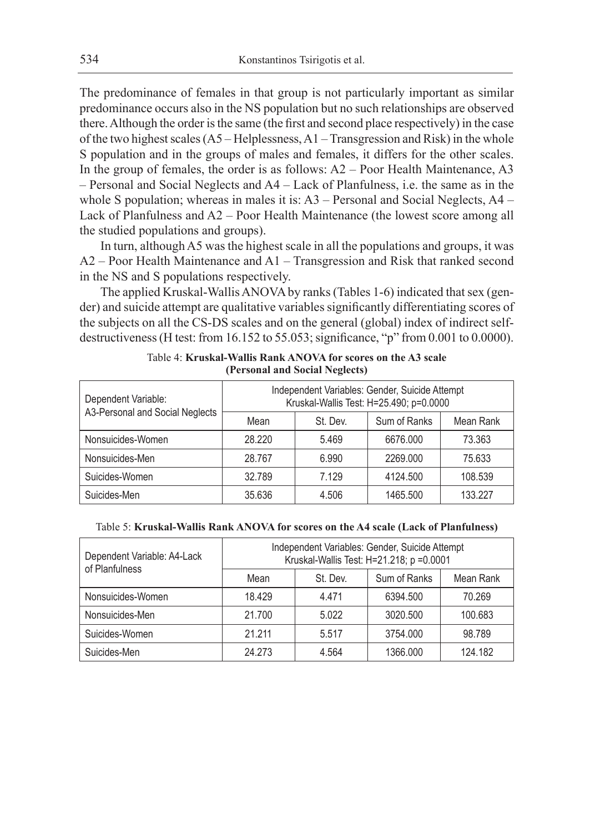The predominance of females in that group is not particularly important as similar predominance occurs also in the NS population but no such relationships are observed there. Although the order is the same (the first and second place respectively) in the case of the two highest scales (A5 – Helplessness, A1 – Transgression and Risk) in the whole S population and in the groups of males and females, it differs for the other scales. In the group of females, the order is as follows: A2 – Poor Health Maintenance, A3 – Personal and Social Neglects and A4 – Lack of Planfulness, i.e. the same as in the whole S population; whereas in males it is: A3 – Personal and Social Neglects, A4 – Lack of Planfulness and A2 – Poor Health Maintenance (the lowest score among all the studied populations and groups).

In turn, although A5 was the highest scale in all the populations and groups, it was A2 – Poor Health Maintenance and A1 – Transgression and Risk that ranked second in the NS and S populations respectively.

The applied Kruskal-Wallis ANOVA by ranks (Tables 1-6) indicated that sex (gender) and suicide attempt are qualitative variables significantly differentiating scores of the subjects on all the CS-DS scales and on the general (global) index of indirect selfdestructiveness (H test: from 16.152 to 55.053; significance, "p" from 0.001 to 0.0000).

| Dependent Variable:<br>A3-Personal and Social Neglects | Independent Variables: Gender, Suicide Attempt<br>Kruskal-Wallis Test: H=25.490; p=0.0000 |          |              |           |
|--------------------------------------------------------|-------------------------------------------------------------------------------------------|----------|--------------|-----------|
|                                                        | Mean                                                                                      | St. Dev. | Sum of Ranks | Mean Rank |
| Nonsuicides-Women                                      | 28.220                                                                                    | 5.469    | 6676.000     | 73.363    |
| Nonsuicides-Men                                        | 28.767                                                                                    | 6.990    | 2269.000     | 75.633    |
| Suicides-Women                                         | 32.789                                                                                    | 7.129    | 4124.500     | 108.539   |
| Suicides-Men                                           | 35.636                                                                                    | 4.506    | 1465.500     | 133.227   |

Table 4: **Kruskal-Wallis Rank ANOVA for scores on the A3 scale (Personal and Social Neglects)**

#### Table 5: **Kruskal-Wallis Rank ANOVA for scores on the A4 scale (Lack of Planfulness)**

| Dependent Variable: A4-Lack<br>of Planfulness | Independent Variables: Gender, Suicide Attempt<br>Kruskal-Wallis Test: H=21.218; p =0.0001 |          |              |           |
|-----------------------------------------------|--------------------------------------------------------------------------------------------|----------|--------------|-----------|
|                                               | Mean                                                                                       | St. Dev. | Sum of Ranks | Mean Rank |
| Nonsuicides-Women                             | 18.429                                                                                     | 4.471    | 6394.500     | 70.269    |
| Nonsuicides-Men                               | 21.700                                                                                     | 5.022    | 3020.500     | 100.683   |
| Suicides-Women                                | 21.211                                                                                     | 5.517    | 3754.000     | 98.789    |
| Suicides-Men                                  | 24.273                                                                                     | 4.564    | 1366.000     | 124.182   |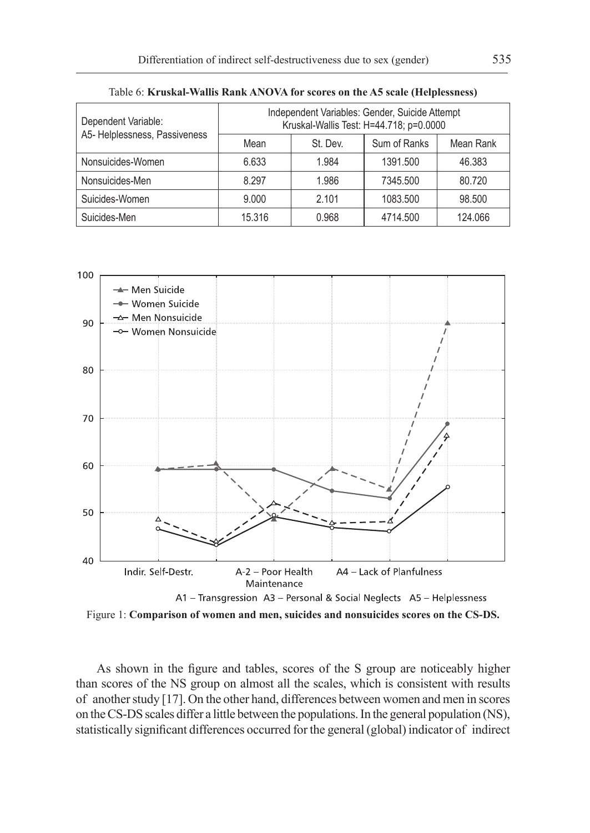| Dependent Variable:<br>A5- Helplessness, Passiveness | Independent Variables: Gender, Suicide Attempt<br>Kruskal-Wallis Test: H=44.718; p=0.0000 |          |              |           |
|------------------------------------------------------|-------------------------------------------------------------------------------------------|----------|--------------|-----------|
|                                                      | Mean                                                                                      | St. Dev. | Sum of Ranks | Mean Rank |
| Nonsuicides-Women                                    | 6.633                                                                                     | 1.984    | 1391.500     | 46.383    |
| Nonsuicides-Men                                      | 8.297                                                                                     | 1.986    | 7345.500     | 80.720    |
| Suicides-Women                                       | 9.000                                                                                     | 2.101    | 1083.500     | 98.500    |
| Suicides-Men                                         | 15.316                                                                                    | 0.968    | 4714.500     | 124.066   |

Table 6: **Kruskal-Wallis Rank ANOVA for scores on the A5 scale (Helplessness)**



Figure 1: **Comparison of women and men, suicides and nonsuicides scores on the CS-DS.**

As shown in the figure and tables, scores of the S group are noticeably higher than scores of the NS group on almost all the scales, which is consistent with results of another study [17]. On the other hand, differences between women and men in scores on theCS-DS scales differ a little between the populations. In the general population (NS), statistically significant differences occurred for the general (global) indicator of indirect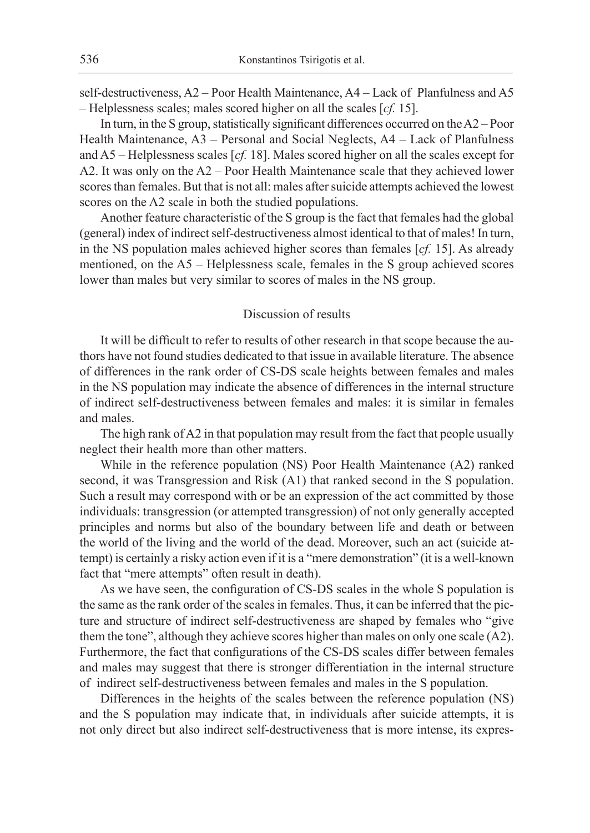self-destructiveness, A2 – Poor Health Maintenance, A4 – Lack of Planfulness and A5 – Helplessness scales; males scored higher on all the scales [*cf.* 15].

In turn, in the S group, statistically significant differences occurred on theA2 – Poor Health Maintenance, A3 – Personal and Social Neglects, A4 – Lack of Planfulness and A5 – Helplessness scales [*cf.* 18]. Males scored higher on all the scales except for A2. It was only on the A2 – Poor Health Maintenance scale that they achieved lower scores than females. But that is not all: males after suicide attempts achieved the lowest scores on the A2 scale in both the studied populations.

Another feature characteristic of the S group is the fact that females had the global (general) index of indirect self-destructiveness almost identical to that of males! In turn, in the NS population males achieved higher scores than females [*cf.* 15]. As already mentioned, on the A5 – Helplessness scale, females in the S group achieved scores lower than males but very similar to scores of males in the NS group.

## Discussion of results

It will be difficult to refer to results of other research in that scope because the authors have not found studies dedicated to that issue in available literature. The absence of differences in the rank order of CS-DS scale heights between females and males in the NS population may indicate the absence of differences in the internal structure of indirect self-destructiveness between females and males: it is similar in females and males.

The high rank of A2 in that population may result from the fact that people usually neglect their health more than other matters.

While in the reference population (NS) Poor Health Maintenance (A2) ranked second, it was Transgression and Risk (A1) that ranked second in the S population. Such a result may correspond with or be an expression of the act committed by those individuals: transgression (or attempted transgression) of not only generally accepted principles and norms but also of the boundary between life and death or between the world of the living and the world of the dead. Moreover, such an act (suicide attempt) is certainly a risky action even if it is a "mere demonstration" (it is a well-known fact that "mere attempts" often result in death).

As we have seen, the configuration of CS-DS scales in the whole S population is the same as the rank order of the scales in females. Thus, it can be inferred that the picture and structure of indirect self-destructiveness are shaped by females who "give them the tone", although they achieve scores higher than males on only one scale (A2). Furthermore, the fact that configurations of the CS-DS scales differ between females and males may suggest that there is stronger differentiation in the internal structure of indirect self-destructiveness between females and males in the S population.

Differences in the heights of the scales between the reference population (NS) and the S population may indicate that, in individuals after suicide attempts, it is not only direct but also indirect self-destructiveness that is more intense, its expres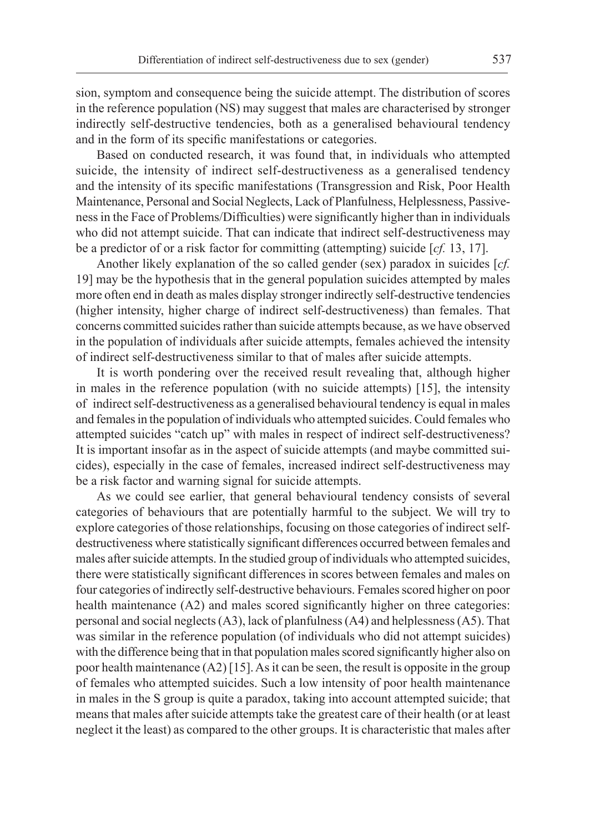sion, symptom and consequence being the suicide attempt. The distribution of scores in the reference population (NS) may suggest that males are characterised by stronger indirectly self-destructive tendencies, both as a generalised behavioural tendency and in the form of its specific manifestations or categories.

Based on conducted research, it was found that, in individuals who attempted suicide, the intensity of indirect self-destructiveness as a generalised tendency and the intensity of its specific manifestations (Transgression and Risk, Poor Health Maintenance, Personal and Social Neglects, Lack of Planfulness, Helplessness, Passiveness in the Face of Problems/Difficulties) were significantly higher than in individuals who did not attempt suicide. That can indicate that indirect self-destructiveness may be a predictor of or a risk factor for committing (attempting) suicide [*cf.* 13, 17].

Another likely explanation of the so called gender (sex) paradox in suicides [*cf.* 19] may be the hypothesis that in the general population suicides attempted by males more often end in death as males display stronger indirectly self-destructive tendencies (higher intensity, higher charge of indirect self-destructiveness) than females. That concerns committed suicides rather than suicide attempts because, as we have observed in the population of individuals after suicide attempts, females achieved the intensity of indirect self-destructiveness similar to that of males after suicide attempts.

It is worth pondering over the received result revealing that, although higher in males in the reference population (with no suicide attempts) [15], the intensity of indirect self-destructiveness as a generalised behavioural tendency is equal in males and females in the population of individuals who attempted suicides. Could females who attempted suicides "catch up" with males in respect of indirect self-destructiveness? It is important insofar as in the aspect of suicide attempts (and maybe committed suicides), especially in the case of females, increased indirect self-destructiveness may be a risk factor and warning signal for suicide attempts.

As we could see earlier, that general behavioural tendency consists of several categories of behaviours that are potentially harmful to the subject. We will try to explore categories of those relationships, focusing on those categories of indirect selfdestructiveness where statistically significant differences occurred between females and males after suicide attempts. In the studied group of individuals who attempted suicides, there were statistically significant differences in scores between females and males on four categories of indirectly self-destructive behaviours. Females scored higher on poor health maintenance (A2) and males scored significantly higher on three categories: personal and social neglects (A3), lack of planfulness (A4) and helplessness (A5). That was similar in the reference population (of individuals who did not attempt suicides) with the difference being that in that population males scored significantly higher also on poor health maintenance (A2) [15]. As it can be seen, the result is opposite in the group of females who attempted suicides. Such a low intensity of poor health maintenance in males in the S group is quite a paradox, taking into account attempted suicide; that means that males after suicide attempts take the greatest care of their health (or at least neglect it the least) as compared to the other groups. It is characteristic that males after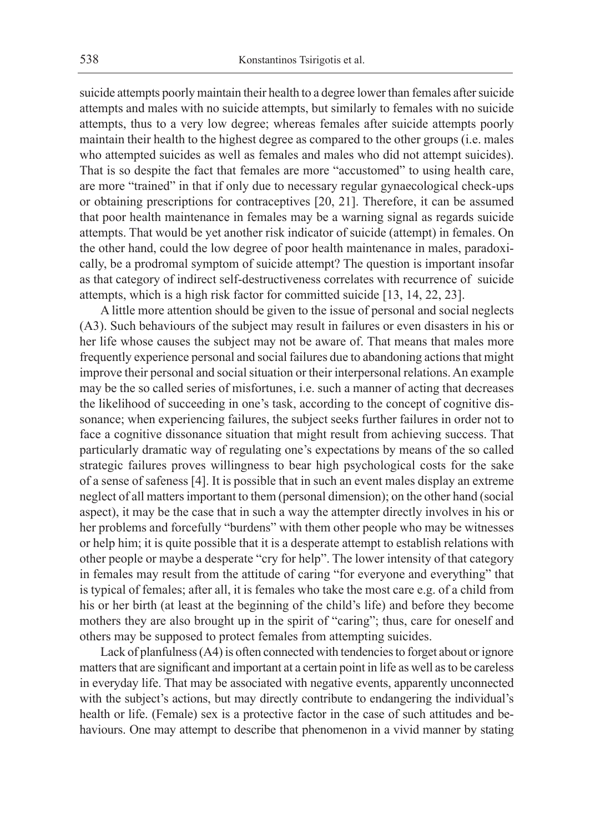suicide attempts poorly maintain their health to a degree lower than females after suicide attempts and males with no suicide attempts, but similarly to females with no suicide attempts, thus to a very low degree; whereas females after suicide attempts poorly maintain their health to the highest degree as compared to the other groups (i.e. males who attempted suicides as well as females and males who did not attempt suicides). That is so despite the fact that females are more "accustomed" to using health care, are more "trained" in that if only due to necessary regular gynaecological check-ups or obtaining prescriptions for contraceptives [20, 21]. Therefore, it can be assumed that poor health maintenance in females may be a warning signal as regards suicide attempts. That would be yet another risk indicator of suicide (attempt) in females. On the other hand, could the low degree of poor health maintenance in males, paradoxically, be a prodromal symptom of suicide attempt? The question is important insofar as that category of indirect self-destructiveness correlates with recurrence of suicide attempts, which is a high risk factor for committed suicide [13, 14, 22, 23].

A little more attention should be given to the issue of personal and social neglects (A3). Such behaviours of the subject may result in failures or even disasters in his or her life whose causes the subject may not be aware of. That means that males more frequently experience personal and social failures due to abandoning actions that might improve their personal and social situation or their interpersonal relations. An example may be the so called series of misfortunes, i.e. such a manner of acting that decreases the likelihood of succeeding in one's task, according to the concept of cognitive dissonance; when experiencing failures, the subject seeks further failures in order not to face a cognitive dissonance situation that might result from achieving success. That particularly dramatic way of regulating one's expectations by means of the so called strategic failures proves willingness to bear high psychological costs for the sake of a sense of safeness [4]. It is possible that in such an event males display an extreme neglect of all matters important to them (personal dimension); on the other hand (social aspect), it may be the case that in such a way the attempter directly involves in his or her problems and forcefully "burdens" with them other people who may be witnesses or help him; it is quite possible that it is a desperate attempt to establish relations with other people or maybe a desperate "cry for help". The lower intensity of that category in females may result from the attitude of caring "for everyone and everything" that is typical of females; after all, it is females who take the most care e.g. of a child from his or her birth (at least at the beginning of the child's life) and before they become mothers they are also brought up in the spirit of "caring"; thus, care for oneself and others may be supposed to protect females from attempting suicides.

Lack of planfulness (A4) is often connected with tendencies to forget about or ignore matters that are significant and important at a certain point in life as well as to be careless in everyday life. That may be associated with negative events, apparently unconnected with the subject's actions, but may directly contribute to endangering the individual's health or life. (Female) sex is a protective factor in the case of such attitudes and behaviours. One may attempt to describe that phenomenon in a vivid manner by stating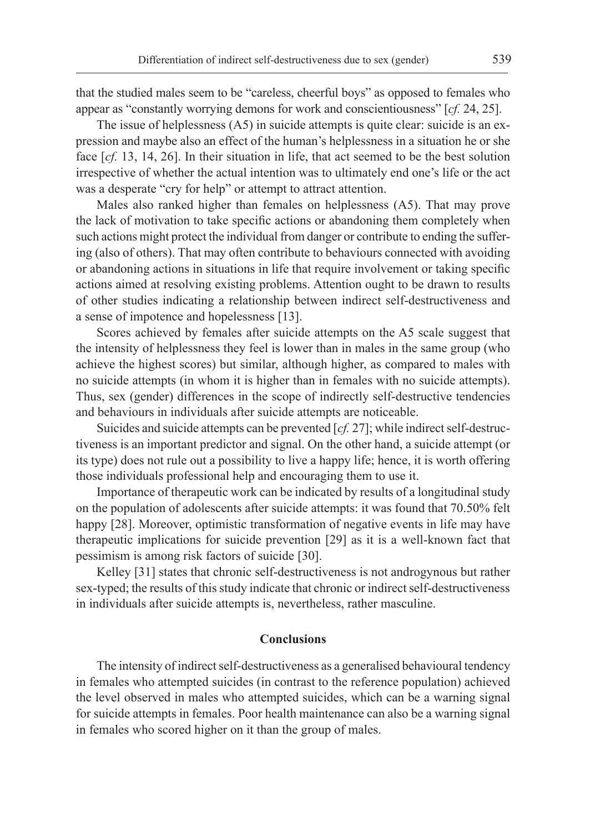that the studied males seem to be "careless, cheerful boys" as opposed to females who appear as "constantly worrying demons for work and conscientiousness" [*cf.* 24, 25].

The issue of helplessness (A5) in suicide attempts is quite clear: suicide is an expression and maybe also an effect of the human's helplessness in a situation he or she face  $[cf, 13, 14, 26]$ . In their situation in life, that act seemed to be the best solution irrespective of whether the actual intention was to ultimately end one's life or the act was a desperate "cry for help" or attempt to attract attention.

Males also ranked higher than females on helplessness (A5). That may prove the lack of motivation to take specific actions or abandoning them completely when such actions might protect the individual from danger or contribute to ending the suffering (also of others). That may often contribute to behaviours connected with avoiding or abandoning actions in situations in life that require involvement or taking specific actions aimed at resolving existing problems. Attention ought to be drawn to results of other studies indicating a relationship between indirect self-destructiveness and a sense of impotence and hopelessness [13].

Scores achieved by females after suicide attempts on the A5 scale suggest that the intensity of helplessness they feel is lower than in males in the same group (who achieve the highest scores) but similar, although higher, as compared to males with no suicide attempts (in whom it is higher than in females with no suicide attempts). Thus, sex (gender) differences in the scope of indirectly self-destructive tendencies and behaviours in individuals after suicide attempts are noticeable.

Suicides and suicide attempts can be prevented [*cf.* 27]; while indirect self-destructiveness is an important predictor and signal. On the other hand, a suicide attempt (or its type) does not rule out a possibility to live a happy life; hence, it is worth offering those individuals professional help and encouraging them to use it.

Importance of therapeutic work can be indicated by results of a longitudinal study on the population of adolescents after suicide attempts: it was found that 70.50% felt happy [28]. Moreover, optimistic transformation of negative events in life may have therapeutic implications for suicide prevention [29] as it is a well-known fact that pessimism is among risk factors of suicide [30].

Kelley [31] states that chronic self-destructiveness is not androgynous but rather sex-typed; the results of this study indicate that chronic or indirect self-destructiveness in individuals after suicide attempts is, nevertheless, rather masculine.

# **Conclusions**

The intensity of indirect self-destructiveness as a generalised behavioural tendency in females who attempted suicides (in contrast to the reference population) achieved the level observed in males who attempted suicides, which can be a warning signal for suicide attempts in females. Poor health maintenance can also be a warning signal in females who scored higher on it than the group of males.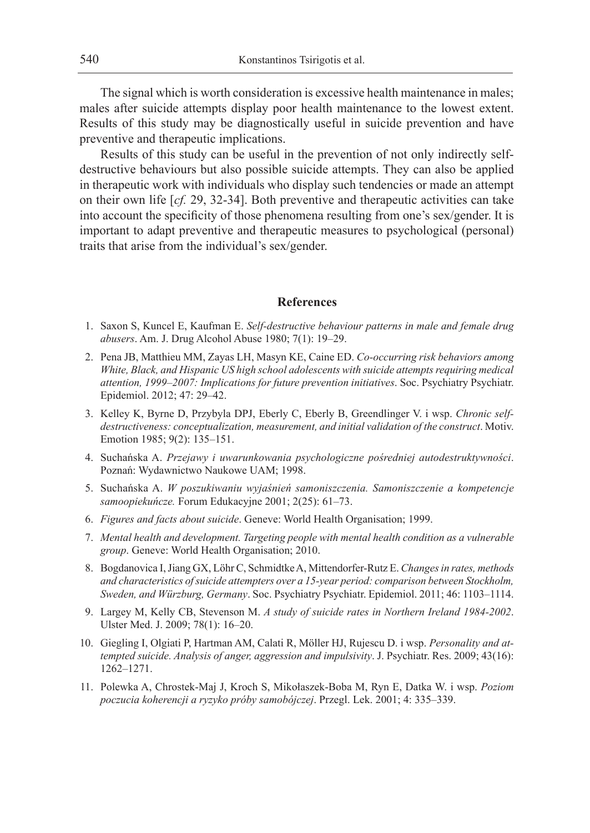The signal which is worth consideration is excessive health maintenance in males; males after suicide attempts display poor health maintenance to the lowest extent. Results of this study may be diagnostically useful in suicide prevention and have preventive and therapeutic implications.

Results of this study can be useful in the prevention of not only indirectly selfdestructive behaviours but also possible suicide attempts. They can also be applied in therapeutic work with individuals who display such tendencies or made an attempt on their own life [*cf.* 29, 32-34]. Both preventive and therapeutic activities can take into account the specificity of those phenomena resulting from one's sex/gender. It is important to adapt preventive and therapeutic measures to psychological (personal) traits that arise from the individual's sex/gender.

## **References**

- 1. Saxon S, Kuncel E, Kaufman E. *Self-destructive behaviour patterns in male and female drug abusers*. Am. J. Drug Alcohol Abuse 1980; 7(1): 19–29.
- 2. Pena JB, Matthieu MM, Zayas LH, Masyn KE, Caine ED. *Co-occurring risk behaviors among White, Black, and Hispanic US high school adolescents with suicide attempts requiring medical attention, 1999–2007: Implications for future prevention initiatives*. Soc. Psychiatry Psychiatr. Epidemiol. 2012; 47: 29–42.
- 3. Kelley K, Byrne D, Przybyla DPJ, Eberly C, Eberly B, Greendlinger V. i wsp. *Chronic selfdestructiveness: conceptualization, measurement, and initial validation of the construct*. Motiv. Emotion 1985; 9(2): 135–151.
- 4. Suchańska A. *Przejawy i uwarunkowania psychologiczne pośredniej autodestruktywności*. Poznań: Wydawnictwo Naukowe UAM; 1998.
- 5. Suchańska A. *W poszukiwaniu wyjaśnień samoniszczenia. Samoniszczenie a kompetencje samoopiekuńcze.* Forum Edukacyjne 2001; 2(25): 61–73.
- 6. *Figures and facts about suicide*. Geneve: World Health Organisation; 1999.
- 7. *Mental health and development. Targeting people with mental health condition as a vulnerable group*. Geneve: World Health Organisation; 2010.
- 8. Bogdanovica I, Jiang GX, Löhr C, Schmidtke A, Mittendorfer-Rutz E. *Changes in rates, methods and characteristics of suicide attempters over a 15-year period: comparison between Stockholm, Sweden, and Würzburg, Germany*. Soc. Psychiatry Psychiatr. Epidemiol. 2011; 46: 1103–1114.
- 9. Largey M, Kelly CB, Stevenson M. *A study of suicide rates in Northern Ireland 1984-2002*. Ulster Med. J. 2009; 78(1): 16–20.
- 10. Giegling I, Olgiati P, Hartman AM, Calati R, Möller HJ, Rujescu D. i wsp. *Personality and attempted suicide. Analysis of anger, aggression and impulsivity*. J. Psychiatr. Res. 2009; 43(16): 1262–1271.
- 11. Polewka A, Chrostek-Maj J, Kroch S, Mikołaszek-Boba M, Ryn E, Datka W. i wsp. *Poziom poczucia koherencji a ryzyko próby samobójczej*. Przegl. Lek. 2001; 4: 335–339.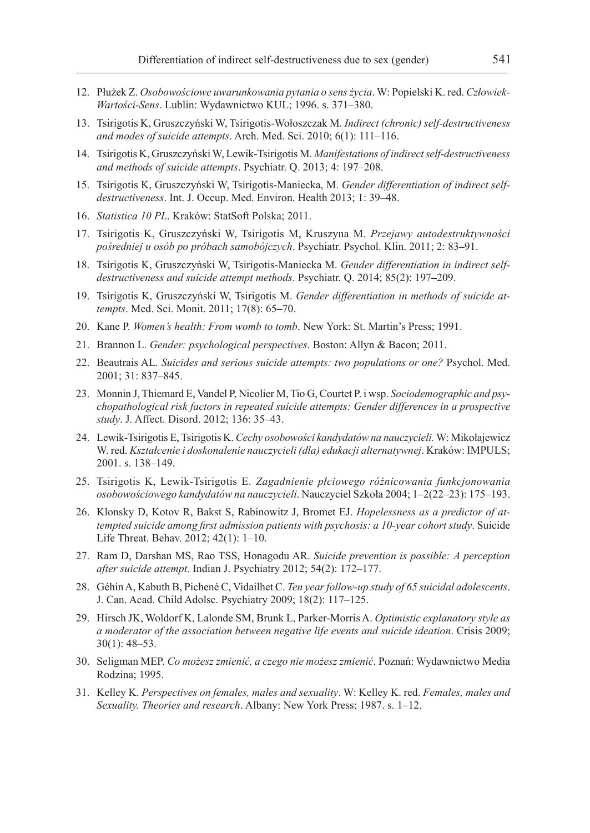- 12. Płużek Z. *Osobowościowe uwarunkowania pytania o sens życia*. W: Popielski K. red. *Człowiek-Wartości-Sens*. Lublin: Wydawnictwo KUL; 1996. s. 371–380.
- 13. Tsirigotis K, Gruszczyński W, Tsirigotis-Wołoszczak M. *Indirect (chronic) self-destructiveness and modes of suicide attempts*. Arch. Med. Sci. 2010; 6(1): 111–116.
- 14. Tsirigotis K, Gruszczyński W, Lewik-Tsirigotis M. *Manifestations of indirect self-destructiveness and methods of suicide attempts*. Psychiatr. Q. 2013; 4: 197–208.
- 15. Tsirigotis K, Gruszczyński W, Tsirigotis-Maniecka, M. *Gender differentiation of indirect selfdestructiveness*. Int. J. Occup. Med. Environ. Health 2013; 1: 39–48.
- 16. *Statistica 10 PL*. Kraków: StatSoft Polska; 2011.
- 17. Tsirigotis K, Gruszczyński W, Tsirigotis M, Kruszyna M. *Przejawy autodestruktywności pośredniej u osób po próbach samobójczych*. Psychiatr. Psychol. Klin. 2011; 2: 83**–**91.
- 18. Tsirigotis K, Gruszczyński W, Tsirigotis-Maniecka M. *Gender differentiation in indirect selfdestructiveness and suicide attempt methods*. Psychiatr. Q. 2014; 85(2): 197**–**209.
- 19. Tsirigotis K, Gruszczyński W, Tsirigotis M. *Gender differentiation in methods of suicide attempts*. Med. Sci. Monit. 2011; 17(8): 65**–**70.
- 20. Kane P. *Women's health: From womb to tomb*. New York: St. Martin's Press; 1991.
- 21. Brannon L. *Gender: psychological perspectives*. Boston: Allyn & Bacon; 2011.
- 22. Beautrais AL. *Suicides and serious suicide attempts: two populations or one?* Psychol. Med. 2001; 31: 837–845.
- 23. Monnin J, Thiemard E, Vandel P, Nicolier M, Tio G, Courtet P. i wsp. *Sociodemographic and psychopathological risk factors in repeated suicide attempts: Gender differences in a prospective study*. J. Affect. Disord. 2012; 136: 35–43.
- 24. Lewik-Tsirigotis E, Tsirigotis K. *Cechy osobowości kandydatów na nauczycieli.* W: Mikołajewicz W. red. *Kształcenie i doskonalenie nauczycieli (dla) edukacji alternatywnej*. Kraków: IMPULS; 2001. s. 138–149.
- 25. Tsirigotis K, Lewik-Tsirigotis E. *Zagadnienie płciowego różnicowania funkcjonowania osobowościowego kandydatów na nauczycieli*. Nauczyciel Szkoła 2004; 1–2(22–23): 175–193.
- 26. Klonsky D, Kotov R, Bakst S, Rabinowitz J, Bromet EJ. *Hopelessness as a predictor of attempted suicide among first admission patients with psychosis: a 10-year cohort study*. Suicide Life Threat. Behav. 2012; 42(1): 1–10.
- 27. Ram D, Darshan MS, Rao TSS, Honagodu AR. *Suicide prevention is possible: A perception after suicide attempt*. Indian J. Psychiatry 2012; 54(2): 172–177.
- 28. Géhin A, Kabuth B, Pichené C, Vidailhet C. *Ten year follow-up study of 65 suicidal adolescents*. J. Can. Acad. Child Adolsc. Psychiatry 2009; 18(2): 117–125.
- 29. Hirsch JK, Woldorf K, Lalonde SM, Brunk L, Parker-Morris A. *Optimistic explanatory style as a moderator of the association between negative life events and suicide ideation*. Crisis 2009; 30(1): 48–53.
- 30. Seligman MEP. *Co możesz zmienić, a czego nie możesz zmienić*. Poznań: Wydawnictwo Media Rodzina; 1995.
- 31. Kelley K. *Perspectives on females, males and sexuality*. W: Kelley K. red. *Females, males and Sexuality. Theories and research*. Albany: New York Press; 1987. s. 1–12.